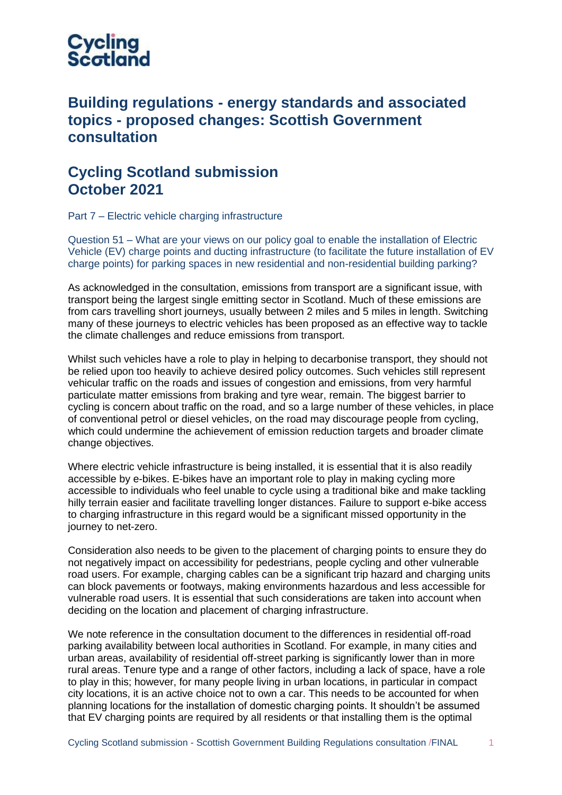

## **Building regulations - energy standards and associated topics - proposed changes: Scottish Government consultation**

## **Cycling Scotland submission October 2021**

Part 7 – Electric vehicle charging infrastructure

Question 51 – What are your views on our policy goal to enable the installation of Electric Vehicle (EV) charge points and ducting infrastructure (to facilitate the future installation of EV charge points) for parking spaces in new residential and non-residential building parking?

As acknowledged in the consultation, emissions from transport are a significant issue, with transport being the largest single emitting sector in Scotland. Much of these emissions are from cars travelling short journeys, usually between 2 miles and 5 miles in length. Switching many of these journeys to electric vehicles has been proposed as an effective way to tackle the climate challenges and reduce emissions from transport.

Whilst such vehicles have a role to play in helping to decarbonise transport, they should not be relied upon too heavily to achieve desired policy outcomes. Such vehicles still represent vehicular traffic on the roads and issues of congestion and emissions, from very harmful particulate matter emissions from braking and tyre wear, remain. The biggest barrier to cycling is concern about traffic on the road, and so a large number of these vehicles, in place of conventional petrol or diesel vehicles, on the road may discourage people from cycling, which could undermine the achievement of emission reduction targets and broader climate change objectives.

Where electric vehicle infrastructure is being installed, it is essential that it is also readily accessible by e-bikes. E-bikes have an important role to play in making cycling more accessible to individuals who feel unable to cycle using a traditional bike and make tackling hilly terrain easier and facilitate travelling longer distances. Failure to support e-bike access to charging infrastructure in this regard would be a significant missed opportunity in the journey to net-zero.

Consideration also needs to be given to the placement of charging points to ensure they do not negatively impact on accessibility for pedestrians, people cycling and other vulnerable road users. For example, charging cables can be a significant trip hazard and charging units can block pavements or footways, making environments hazardous and less accessible for vulnerable road users. It is essential that such considerations are taken into account when deciding on the location and placement of charging infrastructure.

We note reference in the consultation document to the differences in residential off-road parking availability between local authorities in Scotland. For example, in many cities and urban areas, availability of residential off-street parking is significantly lower than in more rural areas. Tenure type and a range of other factors, including a lack of space, have a role to play in this; however, for many people living in urban locations, in particular in compact city locations, it is an active choice not to own a car. This needs to be accounted for when planning locations for the installation of domestic charging points. It shouldn't be assumed that EV charging points are required by all residents or that installing them is the optimal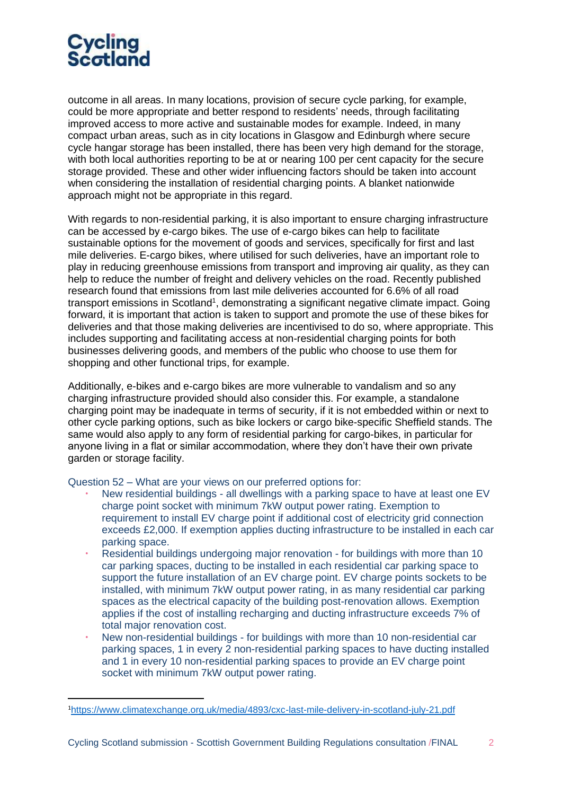

outcome in all areas. In many locations, provision of secure cycle parking, for example, could be more appropriate and better respond to residents' needs, through facilitating improved access to more active and sustainable modes for example. Indeed, in many compact urban areas, such as in city locations in Glasgow and Edinburgh where secure cycle hangar storage has been installed, there has been very high demand for the storage, with both local authorities reporting to be at or nearing 100 per cent capacity for the secure storage provided. These and other wider influencing factors should be taken into account when considering the installation of residential charging points. A blanket nationwide approach might not be appropriate in this regard.

With regards to non-residential parking, it is also important to ensure charging infrastructure can be accessed by e-cargo bikes. The use of e-cargo bikes can help to facilitate sustainable options for the movement of goods and services, specifically for first and last mile deliveries. E-cargo bikes, where utilised for such deliveries, have an important role to play in reducing greenhouse emissions from transport and improving air quality, as they can help to reduce the number of freight and delivery vehicles on the road. Recently published research found that emissions from last mile deliveries accounted for 6.6% of all road transport emissions in Scotland<sup>1</sup>, demonstrating a significant negative climate impact. Going forward, it is important that action is taken to support and promote the use of these bikes for deliveries and that those making deliveries are incentivised to do so, where appropriate. This includes supporting and facilitating access at non-residential charging points for both businesses delivering goods, and members of the public who choose to use them for shopping and other functional trips, for example.

Additionally, e-bikes and e-cargo bikes are more vulnerable to vandalism and so any charging infrastructure provided should also consider this. For example, a standalone charging point may be inadequate in terms of security, if it is not embedded within or next to other cycle parking options, such as bike lockers or cargo bike-specific Sheffield stands. The same would also apply to any form of residential parking for cargo-bikes, in particular for anyone living in a flat or similar accommodation, where they don't have their own private garden or storage facility.

Question 52 – What are your views on our preferred options for:

- New residential buildings all dwellings with a parking space to have at least one EV charge point socket with minimum 7kW output power rating. Exemption to requirement to install EV charge point if additional cost of electricity grid connection exceeds £2,000. If exemption applies ducting infrastructure to be installed in each car parking space.
- Residential buildings undergoing major renovation for buildings with more than 10 car parking spaces, ducting to be installed in each residential car parking space to support the future installation of an EV charge point. EV charge points sockets to be installed, with minimum 7kW output power rating, in as many residential car parking spaces as the electrical capacity of the building post-renovation allows. Exemption applies if the cost of installing recharging and ducting infrastructure exceeds 7% of total major renovation cost.
- New non-residential buildings for buildings with more than 10 non-residential car parking spaces, 1 in every 2 non-residential parking spaces to have ducting installed and 1 in every 10 non-residential parking spaces to provide an EV charge point socket with minimum 7kW output power rating.

<sup>1</sup><https://www.climatexchange.org.uk/media/4893/cxc-last-mile-delivery-in-scotland-july-21.pdf>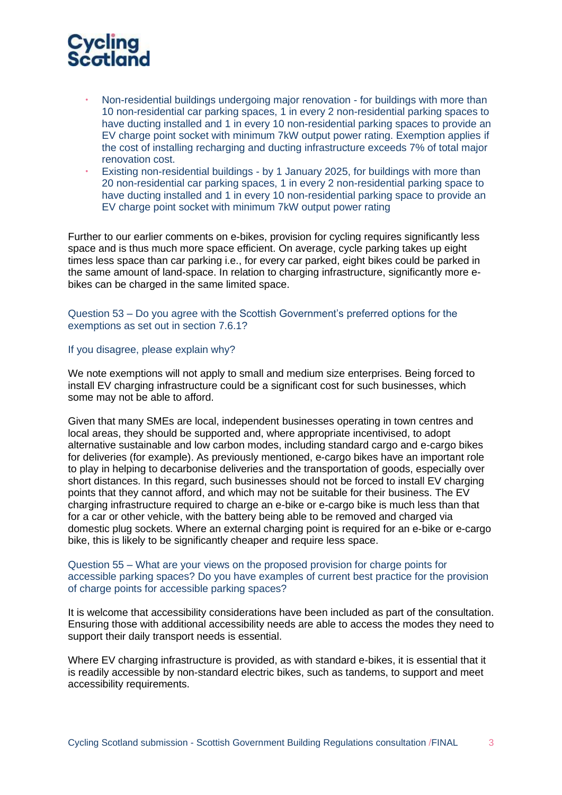

- Non-residential buildings undergoing major renovation for buildings with more than 10 non-residential car parking spaces, 1 in every 2 non-residential parking spaces to have ducting installed and 1 in every 10 non-residential parking spaces to provide an EV charge point socket with minimum 7kW output power rating. Exemption applies if the cost of installing recharging and ducting infrastructure exceeds 7% of total major renovation cost.
- Existing non-residential buildings by 1 January 2025, for buildings with more than 20 non-residential car parking spaces, 1 in every 2 non-residential parking space to have ducting installed and 1 in every 10 non-residential parking space to provide an EV charge point socket with minimum 7kW output power rating

Further to our earlier comments on e-bikes, provision for cycling requires significantly less space and is thus much more space efficient. On average, cycle parking takes up eight times less space than car parking i.e., for every car parked, eight bikes could be parked in the same amount of land-space. In relation to charging infrastructure, significantly more ebikes can be charged in the same limited space.

Question 53 – Do you agree with the Scottish Government's preferred options for the exemptions as set out in section 7.6.1?

## If you disagree, please explain why?

We note exemptions will not apply to small and medium size enterprises. Being forced to install EV charging infrastructure could be a significant cost for such businesses, which some may not be able to afford.

Given that many SMEs are local, independent businesses operating in town centres and local areas, they should be supported and, where appropriate incentivised, to adopt alternative sustainable and low carbon modes, including standard cargo and e-cargo bikes for deliveries (for example). As previously mentioned, e-cargo bikes have an important role to play in helping to decarbonise deliveries and the transportation of goods, especially over short distances. In this regard, such businesses should not be forced to install EV charging points that they cannot afford, and which may not be suitable for their business. The EV charging infrastructure required to charge an e-bike or e-cargo bike is much less than that for a car or other vehicle, with the battery being able to be removed and charged via domestic plug sockets. Where an external charging point is required for an e-bike or e-cargo bike, this is likely to be significantly cheaper and require less space.

## Question 55 – What are your views on the proposed provision for charge points for accessible parking spaces? Do you have examples of current best practice for the provision of charge points for accessible parking spaces?

It is welcome that accessibility considerations have been included as part of the consultation. Ensuring those with additional accessibility needs are able to access the modes they need to support their daily transport needs is essential.

Where EV charging infrastructure is provided, as with standard e-bikes, it is essential that it is readily accessible by non-standard electric bikes, such as tandems, to support and meet accessibility requirements.